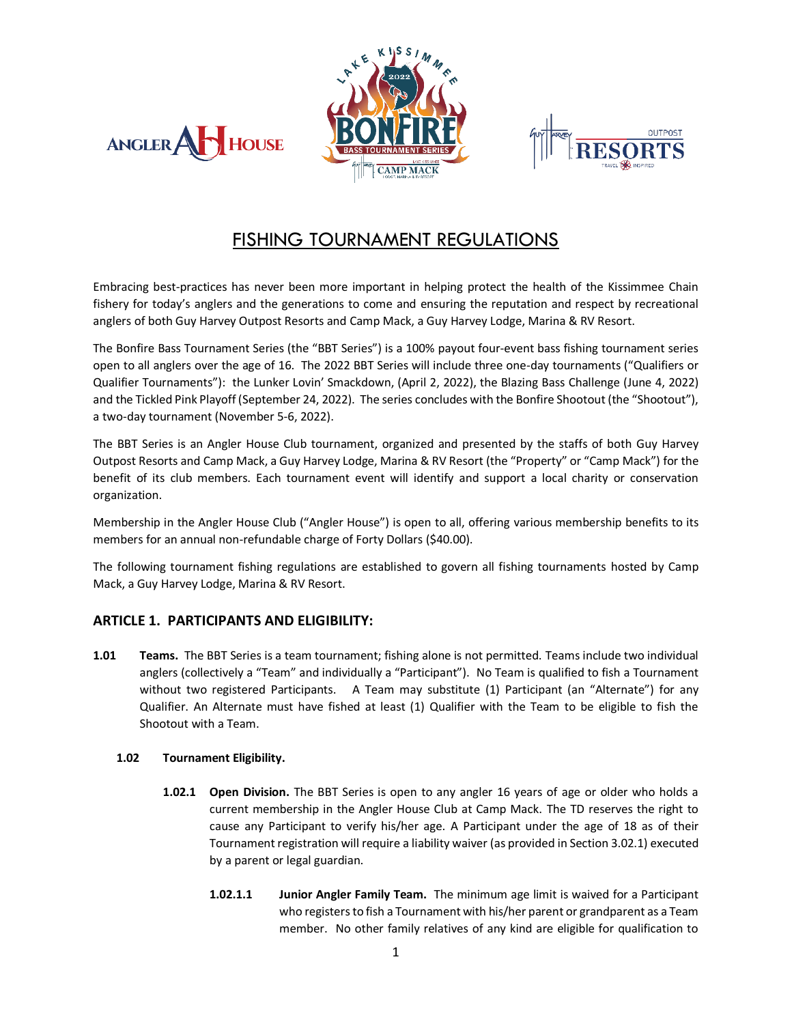





# FISHING TOURNAMENT REGULATIONS

Embracing best-practices has never been more important in helping protect the health of the Kissimmee Chain fishery for today's anglers and the generations to come and ensuring the reputation and respect by recreational anglers of both Guy Harvey Outpost Resorts and Camp Mack, a Guy Harvey Lodge, Marina & RV Resort.

The Bonfire Bass Tournament Series (the "BBT Series") is a 100% payout four-event bass fishing tournament series open to all anglers over the age of 16. The 2022 BBT Series will include three one-day tournaments ("Qualifiers or Qualifier Tournaments"): the Lunker Lovin' Smackdown, (April 2, 2022), the Blazing Bass Challenge (June 4, 2022) and the Tickled Pink Playoff (September 24, 2022). The series concludes with the Bonfire Shootout (the "Shootout"), a two-day tournament (November 5-6, 2022).

The BBT Series is an Angler House Club tournament, organized and presented by the staffs of both Guy Harvey Outpost Resorts and Camp Mack, a Guy Harvey Lodge, Marina & RV Resort (the "Property" or "Camp Mack") for the benefit of its club members. Each tournament event will identify and support a local charity or conservation organization.

Membership in the Angler House Club ("Angler House") is open to all, offering various membership benefits to its members for an annual non-refundable charge of Forty Dollars (\$40.00).

The following tournament fishing regulations are established to govern all fishing tournaments hosted by Camp Mack, a Guy Harvey Lodge, Marina & RV Resort.

# **ARTICLE 1. PARTICIPANTS AND ELIGIBILITY:**

**1.01 Teams.** The BBT Series is a team tournament; fishing alone is not permitted. Teams include two individual anglers (collectively a "Team" and individually a "Participant"). No Team is qualified to fish a Tournament without two registered Participants. A Team may substitute (1) Participant (an "Alternate") for any Qualifier. An Alternate must have fished at least (1) Qualifier with the Team to be eligible to fish the Shootout with a Team.

# **1.02 Tournament Eligibility.**

- **1.02.1 Open Division.** The BBT Series is open to any angler 16 years of age or older who holds a current membership in the Angler House Club at Camp Mack. The TD reserves the right to cause any Participant to verify his/her age. A Participant under the age of 18 as of their Tournament registration will require a liability waiver (as provided in Section 3.02.1) executed by a parent or legal guardian.
	- **1.02.1.1 Junior Angler Family Team.** The minimum age limit is waived for a Participant who registers to fish a Tournament with his/her parent or grandparent as a Team member. No other family relatives of any kind are eligible for qualification to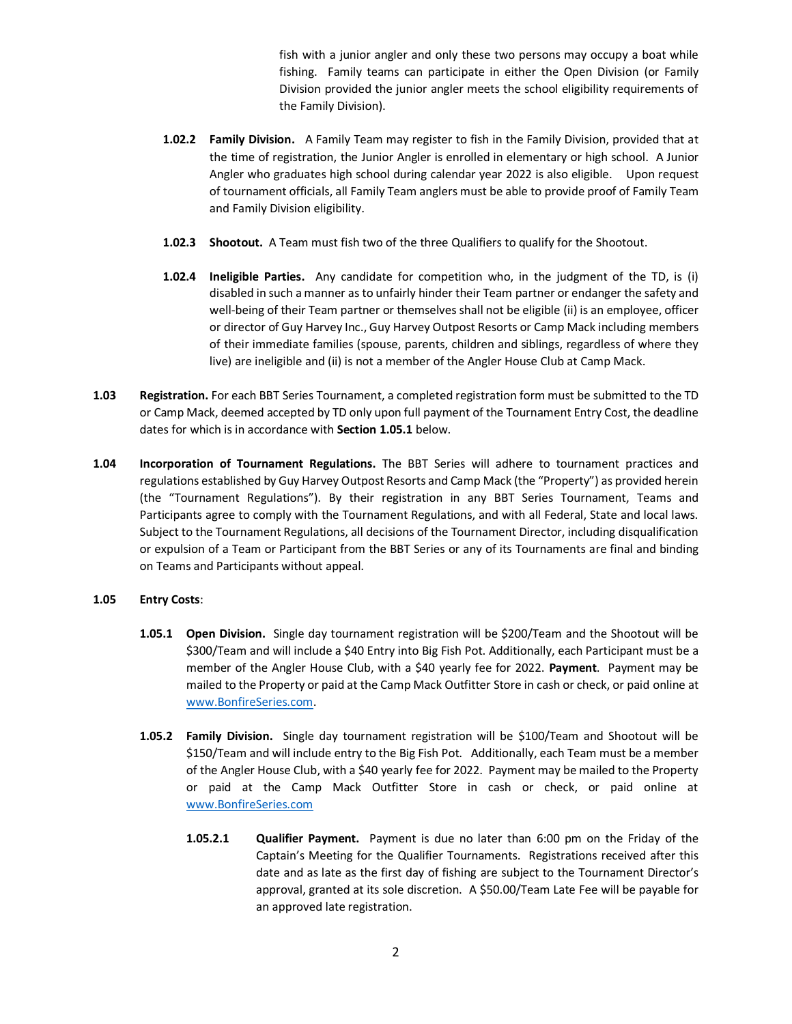fish with a junior angler and only these two persons may occupy a boat while fishing. Family teams can participate in either the Open Division (or Family Division provided the junior angler meets the school eligibility requirements of the Family Division).

- **1.02.2 Family Division.** A Family Team may register to fish in the Family Division, provided that at the time of registration, the Junior Angler is enrolled in elementary or high school. A Junior Angler who graduates high school during calendar year 2022 is also eligible. Upon request of tournament officials, all Family Team anglers must be able to provide proof of Family Team and Family Division eligibility.
- **1.02.3 Shootout.** A Team must fish two of the three Qualifiers to qualify for the Shootout.
- **1.02.4 Ineligible Parties.** Any candidate for competition who, in the judgment of the TD, is (i) disabled in such a manner as to unfairly hinder their Team partner or endanger the safety and well-being of their Team partner or themselves shall not be eligible (ii) is an employee, officer or director of Guy Harvey Inc., Guy Harvey Outpost Resorts or Camp Mack including members of their immediate families (spouse, parents, children and siblings, regardless of where they live) are ineligible and (ii) is not a member of the Angler House Club at Camp Mack.
- **1.03 Registration.** For each BBT Series Tournament, a completed registration form must be submitted to the TD or Camp Mack, deemed accepted by TD only upon full payment of the Tournament Entry Cost, the deadline dates for which is in accordance with **Section 1.05.1** below.
- **1.04 Incorporation of Tournament Regulations.** The BBT Series will adhere to tournament practices and regulations established by Guy Harvey Outpost Resorts and Camp Mack (the "Property") as provided herein (the "Tournament Regulations"). By their registration in any BBT Series Tournament, Teams and Participants agree to comply with the Tournament Regulations, and with all Federal, State and local laws. Subject to the Tournament Regulations, all decisions of the Tournament Director, including disqualification or expulsion of a Team or Participant from the BBT Series or any of its Tournaments are final and binding on Teams and Participants without appeal.

# **1.05 Entry Costs**:

- **1.05.1 Open Division.** Single day tournament registration will be \$200/Team and the Shootout will be \$300/Team and will include a \$40 Entry into Big Fish Pot. Additionally, each Participant must be a member of the Angler House Club, with a \$40 yearly fee for 2022. **Payment**. Payment may be mailed to the Property or paid at the Camp Mack Outfitter Store in cash or check, or paid online at [www.BonfireSeries.com.](http://www.bonfireseries.com/)
- **1.05.2 Family Division.** Single day tournament registration will be \$100/Team and Shootout will be \$150/Team and will include entry to the Big Fish Pot. Additionally, each Team must be a member of the Angler House Club, with a \$40 yearly fee for 2022. Payment may be mailed to the Property or paid at the Camp Mack Outfitter Store in cash or check, or paid online at [www.BonfireSeries.com](http://www.bonfireseries.com/)
	- **1.05.2.1 Qualifier Payment.** Payment is due no later than 6:00 pm on the Friday of the Captain's Meeting for the Qualifier Tournaments. Registrations received after this date and as late as the first day of fishing are subject to the Tournament Director's approval, granted at its sole discretion. A \$50.00/Team Late Fee will be payable for an approved late registration.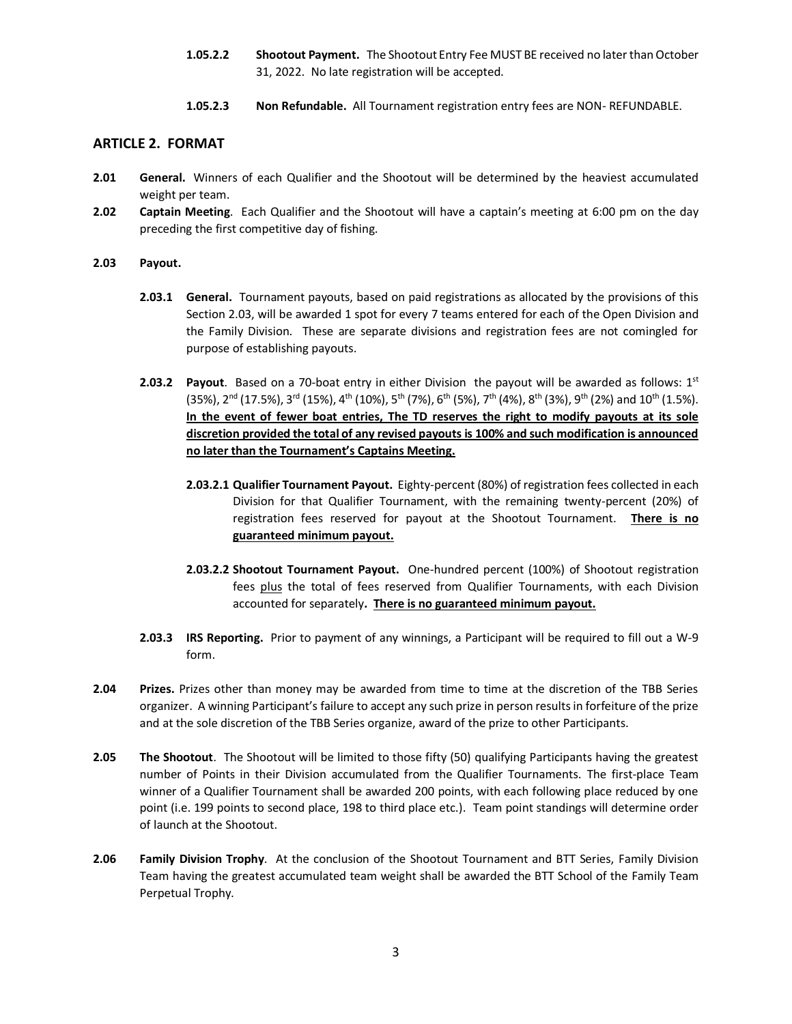- **1.05.2.2 Shootout Payment.** The Shootout Entry Fee MUST BE received no later than October 31, 2022. No late registration will be accepted.
- **1.05.2.3 Non Refundable.** All Tournament registration entry fees are NON- REFUNDABLE.

# **ARTICLE 2. FORMAT**

- **2.01 General.** Winners of each Qualifier and the Shootout will be determined by the heaviest accumulated weight per team.
- **2.02 Captain Meeting**. Each Qualifier and the Shootout will have a captain's meeting at 6:00 pm on the day preceding the first competitive day of fishing.
- **2.03 Payout.**
	- **2.03.1 General.** Tournament payouts, based on paid registrations as allocated by the provisions of this Section 2.03, will be awarded 1 spot for every 7 teams entered for each of the Open Division and the Family Division. These are separate divisions and registration fees are not comingled for purpose of establishing payouts.
	- **2.03.2 Payout**. Based on a 70-boat entry in either Division the payout will be awarded as follows:  $1^{st}$  $(35\%)$ ,  $2^{nd}$   $(17.5\%)$ ,  $3^{rd}$   $(15\%)$ ,  $4^{th}$   $(10\%)$ ,  $5^{th}$   $(7\%)$ ,  $6^{th}$   $(5\%)$ ,  $7^{th}$   $(4\%)$ ,  $8^{th}$   $(3\%)$ ,  $9^{th}$   $(2\%)$  and  $10^{th}$   $(1.5\%)$ . **In the event of fewer boat entries, The TD reserves the right to modify payouts at its sole discretion provided the total of any revised payouts is 100% and such modification is announced no later than the Tournament's Captains Meeting.**
		- **2.03.2.1 Qualifier Tournament Payout.** Eighty-percent (80%) of registration fees collected in each Division for that Qualifier Tournament, with the remaining twenty-percent (20%) of registration fees reserved for payout at the Shootout Tournament. **There is no guaranteed minimum payout.**
		- **2.03.2.2 Shootout Tournament Payout.** One-hundred percent (100%) of Shootout registration fees plus the total of fees reserved from Qualifier Tournaments, with each Division accounted for separately**. There is no guaranteed minimum payout.**
	- **2.03.3 IRS Reporting.** Prior to payment of any winnings, a Participant will be required to fill out a W-9 form.
- **2.04 Prizes.** Prizes other than money may be awarded from time to time at the discretion of the TBB Series organizer. A winning Participant's failure to accept any such prize in person results in forfeiture of the prize and at the sole discretion of the TBB Series organize, award of the prize to other Participants.
- **2.05 The Shootout**. The Shootout will be limited to those fifty (50) qualifying Participants having the greatest number of Points in their Division accumulated from the Qualifier Tournaments. The first-place Team winner of a Qualifier Tournament shall be awarded 200 points, with each following place reduced by one point (i.e. 199 points to second place, 198 to third place etc.). Team point standings will determine order of launch at the Shootout.
- **2.06 Family Division Trophy**. At the conclusion of the Shootout Tournament and BTT Series, Family Division Team having the greatest accumulated team weight shall be awarded the BTT School of the Family Team Perpetual Trophy.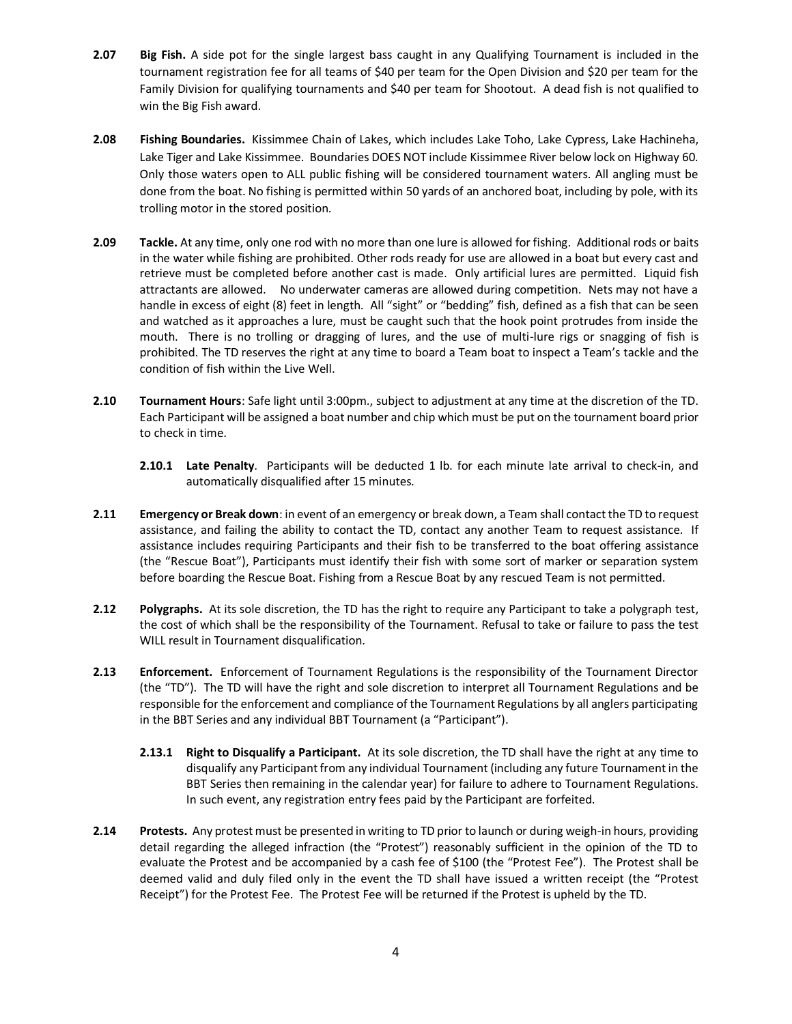- **2.07 Big Fish.** A side pot for the single largest bass caught in any Qualifying Tournament is included in the tournament registration fee for all teams of \$40 per team for the Open Division and \$20 per team for the Family Division for qualifying tournaments and \$40 per team for Shootout. A dead fish is not qualified to win the Big Fish award.
- **2.08 Fishing Boundaries.** Kissimmee Chain of Lakes, which includes Lake Toho, Lake Cypress, Lake Hachineha, Lake Tiger and Lake Kissimmee. Boundaries DOES NOT include Kissimmee River below lock on Highway 60. Only those waters open to ALL public fishing will be considered tournament waters. All angling must be done from the boat. No fishing is permitted within 50 yards of an anchored boat, including by pole, with its trolling motor in the stored position.
- **2.09 Tackle.** At any time, only one rod with no more than one lure is allowed for fishing. Additional rods or baits in the water while fishing are prohibited. Other rods ready for use are allowed in a boat but every cast and retrieve must be completed before another cast is made. Only artificial lures are permitted. Liquid fish attractants are allowed. No underwater cameras are allowed during competition. Nets may not have a handle in excess of eight (8) feet in length. All "sight" or "bedding" fish, defined as a fish that can be seen and watched as it approaches a lure, must be caught such that the hook point protrudes from inside the mouth. There is no trolling or dragging of lures, and the use of multi-lure rigs or snagging of fish is prohibited. The TD reserves the right at any time to board a Team boat to inspect a Team's tackle and the condition of fish within the Live Well.
- **2.10 Tournament Hours**: Safe light until 3:00pm., subject to adjustment at any time at the discretion of the TD. Each Participant will be assigned a boat number and chip which must be put on the tournament board prior to check in time.
	- **2.10.1 Late Penalty**. Participants will be deducted 1 lb. for each minute late arrival to check-in, and automatically disqualified after 15 minutes.
- **2.11 Emergency or Break down**: in event of an emergency or break down, a Team shall contact the TD to request assistance, and failing the ability to contact the TD, contact any another Team to request assistance. If assistance includes requiring Participants and their fish to be transferred to the boat offering assistance (the "Rescue Boat"), Participants must identify their fish with some sort of marker or separation system before boarding the Rescue Boat. Fishing from a Rescue Boat by any rescued Team is not permitted.
- **2.12 Polygraphs.** At its sole discretion, the TD has the right to require any Participant to take a polygraph test, the cost of which shall be the responsibility of the Tournament. Refusal to take or failure to pass the test WILL result in Tournament disqualification.
- **2.13 Enforcement.** Enforcement of Tournament Regulations is the responsibility of the Tournament Director (the "TD"). The TD will have the right and sole discretion to interpret all Tournament Regulations and be responsible for the enforcement and compliance of the Tournament Regulations by all anglers participating in the BBT Series and any individual BBT Tournament (a "Participant").
	- **2.13.1 Right to Disqualify a Participant.** At its sole discretion, the TD shall have the right at any time to disqualify any Participant from any individual Tournament (including any future Tournament in the BBT Series then remaining in the calendar year) for failure to adhere to Tournament Regulations. In such event, any registration entry fees paid by the Participant are forfeited.
- **2.14 Protests.** Any protest must be presented in writing to TD prior to launch or during weigh-in hours, providing detail regarding the alleged infraction (the "Protest") reasonably sufficient in the opinion of the TD to evaluate the Protest and be accompanied by a cash fee of \$100 (the "Protest Fee"). The Protest shall be deemed valid and duly filed only in the event the TD shall have issued a written receipt (the "Protest Receipt") for the Protest Fee. The Protest Fee will be returned if the Protest is upheld by the TD.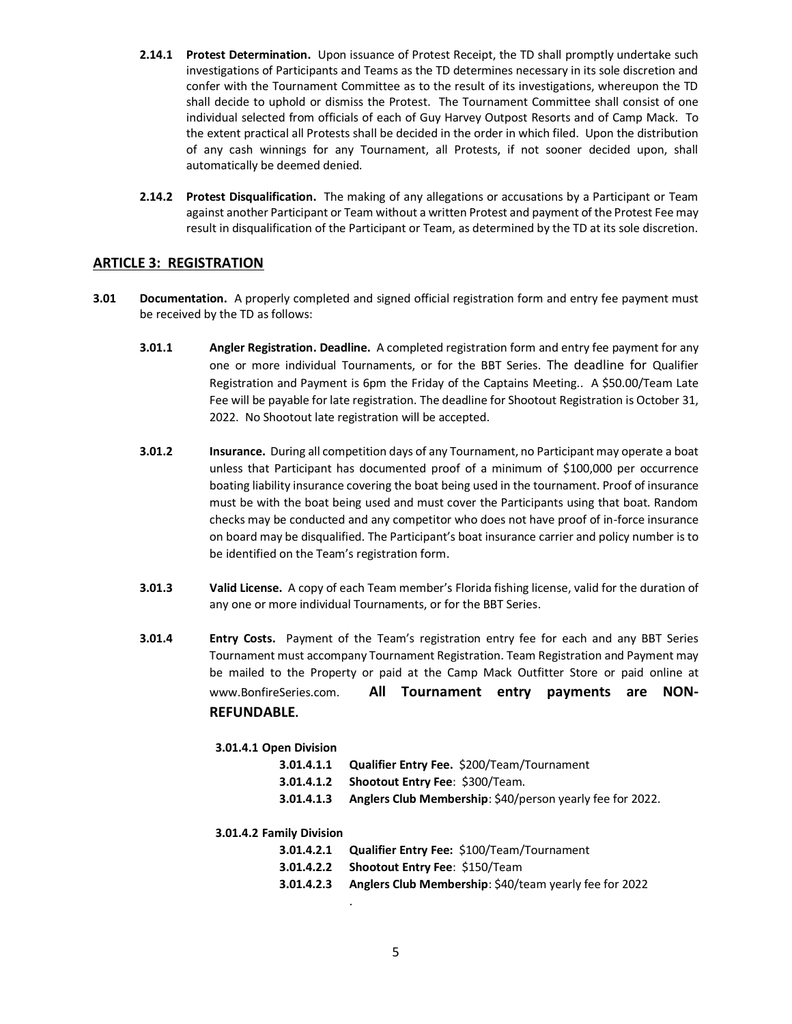- **2.14.1 Protest Determination.** Upon issuance of Protest Receipt, the TD shall promptly undertake such investigations of Participants and Teams as the TD determines necessary in its sole discretion and confer with the Tournament Committee as to the result of its investigations, whereupon the TD shall decide to uphold or dismiss the Protest. The Tournament Committee shall consist of one individual selected from officials of each of Guy Harvey Outpost Resorts and of Camp Mack. To the extent practical all Protests shall be decided in the order in which filed. Upon the distribution of any cash winnings for any Tournament, all Protests, if not sooner decided upon, shall automatically be deemed denied.
- **2.14.2 Protest Disqualification.** The making of any allegations or accusations by a Participant or Team against another Participant or Team without a written Protest and payment of the Protest Fee may result in disqualification of the Participant or Team, as determined by the TD at its sole discretion.

# **ARTICLE 3: REGISTRATION**

- **3.01 Documentation.** A properly completed and signed official registration form and entry fee payment must be received by the TD as follows:
	- **3.01.1 Angler Registration. Deadline.** A completed registration form and entry fee payment for any one or more individual Tournaments, or for the BBT Series. The deadline for Qualifier Registration and Payment is 6pm the Friday of the Captains Meeting.. A \$50.00/Team Late Fee will be payable for late registration. The deadline for Shootout Registration is October 31, 2022. No Shootout late registration will be accepted.
	- **3.01.2 Insurance.** During all competition days of any Tournament, no Participant may operate a boat unless that Participant has documented proof of a minimum of \$100,000 per occurrence boating liability insurance covering the boat being used in the tournament. Proof of insurance must be with the boat being used and must cover the Participants using that boat. Random checks may be conducted and any competitor who does not have proof of in-force insurance on board may be disqualified. The Participant's boat insurance carrier and policy number is to be identified on the Team's registration form.
	- **3.01.3 Valid License.** A copy of each Team member's Florida fishing license, valid for the duration of any one or more individual Tournaments, or for the BBT Series.
	- **3.01.4 Entry Costs.** Payment of the Team's registration entry fee for each and any BBT Series Tournament must accompany Tournament Registration. Team Registration and Payment may be mailed to the Property or paid at the Camp Mack Outfitter Store or paid online at www.BonfireSeries.com. **All Tournament entry payments are NON-REFUNDABLE.**

# **3.01.4.1 Open Division**

|            | <b>3.01.4.1.1 Qualifier Entry Fee. \$200/Team/Tournament</b> |
|------------|--------------------------------------------------------------|
|            | <b>3.01.4.1.2</b> Shootout Entry Fee: \$300/Team.            |
| 3.01.4.1.3 | Anglers Club Membership: \$40/person yearly fee for 2022.    |
|            |                                                              |

#### **3.01.4.2 Family Division**

|            | <b>3.01.4.2.1 Qualifier Entry Fee: \$100/Team/Tournament</b>  |
|------------|---------------------------------------------------------------|
|            | 3.01.4.2.2 Shootout Entry Fee: \$150/Team                     |
| 3.01.4.2.3 | <b>Anglers Club Membership:</b> \$40/team yearly fee for 2022 |

.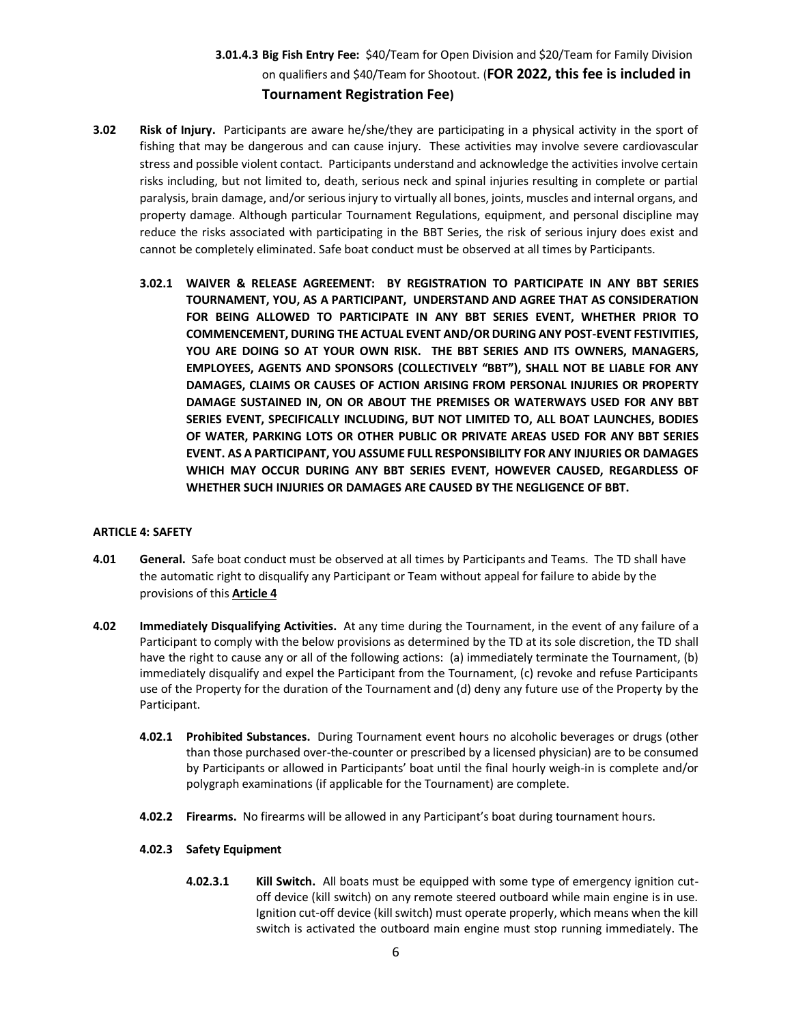# **3.01.4.3 Big Fish Entry Fee:** \$40/Team for Open Division and \$20/Team for Family Division on qualifiers and \$40/Team for Shootout. (**FOR 2022, this fee is included in Tournament Registration Fee)**

- **3.02 Risk of Injury.** Participants are aware he/she/they are participating in a physical activity in the sport of fishing that may be dangerous and can cause injury. These activities may involve severe cardiovascular stress and possible violent contact. Participants understand and acknowledge the activities involve certain risks including, but not limited to, death, serious neck and spinal injuries resulting in complete or partial paralysis, brain damage, and/or serious injury to virtually all bones, joints, muscles and internal organs, and property damage. Although particular Tournament Regulations, equipment, and personal discipline may reduce the risks associated with participating in the BBT Series, the risk of serious injury does exist and cannot be completely eliminated. Safe boat conduct must be observed at all times by Participants.
	- **3.02.1 WAIVER & RELEASE AGREEMENT: BY REGISTRATION TO PARTICIPATE IN ANY BBT SERIES TOURNAMENT, YOU, AS A PARTICIPANT, UNDERSTAND AND AGREE THAT AS CONSIDERATION FOR BEING ALLOWED TO PARTICIPATE IN ANY BBT SERIES EVENT, WHETHER PRIOR TO COMMENCEMENT, DURING THE ACTUAL EVENT AND/OR DURING ANY POST-EVENT FESTIVITIES, YOU ARE DOING SO AT YOUR OWN RISK. THE BBT SERIES AND ITS OWNERS, MANAGERS, EMPLOYEES, AGENTS AND SPONSORS (COLLECTIVELY "BBT"), SHALL NOT BE LIABLE FOR ANY DAMAGES, CLAIMS OR CAUSES OF ACTION ARISING FROM PERSONAL INJURIES OR PROPERTY DAMAGE SUSTAINED IN, ON OR ABOUT THE PREMISES OR WATERWAYS USED FOR ANY BBT SERIES EVENT, SPECIFICALLY INCLUDING, BUT NOT LIMITED TO, ALL BOAT LAUNCHES, BODIES OF WATER, PARKING LOTS OR OTHER PUBLIC OR PRIVATE AREAS USED FOR ANY BBT SERIES EVENT. AS A PARTICIPANT, YOU ASSUME FULL RESPONSIBILITY FOR ANY INJURIES OR DAMAGES WHICH MAY OCCUR DURING ANY BBT SERIES EVENT, HOWEVER CAUSED, REGARDLESS OF WHETHER SUCH INJURIES OR DAMAGES ARE CAUSED BY THE NEGLIGENCE OF BBT.**

# **ARTICLE 4: SAFETY**

- **4.01 General.** Safe boat conduct must be observed at all times by Participants and Teams. The TD shall have the automatic right to disqualify any Participant or Team without appeal for failure to abide by the provisions of this **Article 4**
- **4.02 Immediately Disqualifying Activities.** At any time during the Tournament, in the event of any failure of a Participant to comply with the below provisions as determined by the TD at its sole discretion, the TD shall have the right to cause any or all of the following actions: (a) immediately terminate the Tournament, (b) immediately disqualify and expel the Participant from the Tournament, (c) revoke and refuse Participants use of the Property for the duration of the Tournament and (d) deny any future use of the Property by the Participant.
	- **4.02.1 Prohibited Substances.** During Tournament event hours no alcoholic beverages or drugs (other than those purchased over-the-counter or prescribed by a licensed physician) are to be consumed by Participants or allowed in Participants' boat until the final hourly weigh-in is complete and/or polygraph examinations (if applicable for the Tournament) are complete.
	- **4.02.2 Firearms.** No firearms will be allowed in any Participant's boat during tournament hours.

# **4.02.3 Safety Equipment**

**4.02.3.1 Kill Switch.** All boats must be equipped with some type of emergency ignition cutoff device (kill switch) on any remote steered outboard while main engine is in use. Ignition cut-off device (kill switch) must operate properly, which means when the kill switch is activated the outboard main engine must stop running immediately. The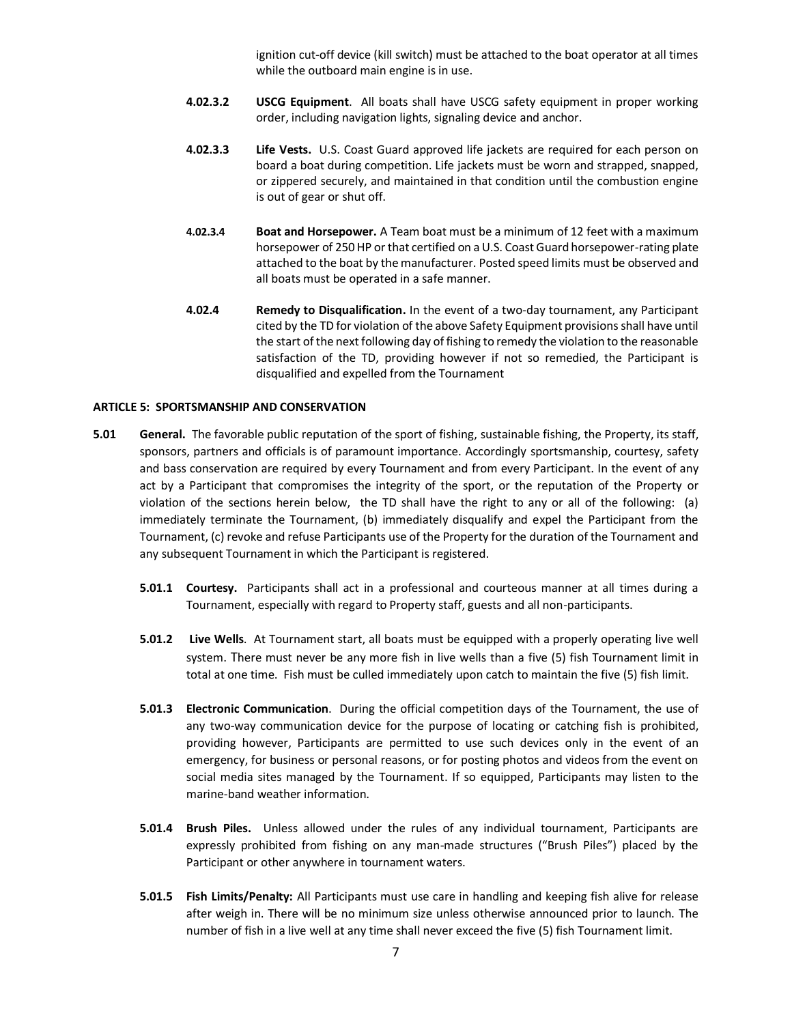ignition cut-off device (kill switch) must be attached to the boat operator at all times while the outboard main engine is in use.

- **4.02.3.2 USCG Equipment**. All boats shall have USCG safety equipment in proper working order, including navigation lights, signaling device and anchor.
- **4.02.3.3 Life Vests.** U.S. Coast Guard approved life jackets are required for each person on board a boat during competition. Life jackets must be worn and strapped, snapped, or zippered securely, and maintained in that condition until the combustion engine is out of gear or shut off.
- **4.02.3.4 Boat and Horsepower.** A Team boat must be a minimum of 12 feet with a maximum horsepower of 250 HP or that certified on a U.S. Coast Guard horsepower-rating plate attached to the boat by the manufacturer. Posted speed limits must be observed and all boats must be operated in a safe manner.
- **4.02.4 Remedy to Disqualification.** In the event of a two-day tournament, any Participant cited by the TD for violation of the above Safety Equipment provisions shall have until the start of the next following day of fishing to remedy the violation to the reasonable satisfaction of the TD, providing however if not so remedied, the Participant is disqualified and expelled from the Tournament

#### **ARTICLE 5: SPORTSMANSHIP AND CONSERVATION**

- **5.01 General.** The favorable public reputation of the sport of fishing, sustainable fishing, the Property, its staff, sponsors, partners and officials is of paramount importance. Accordingly sportsmanship, courtesy, safety and bass conservation are required by every Tournament and from every Participant. In the event of any act by a Participant that compromises the integrity of the sport, or the reputation of the Property or violation of the sections herein below, the TD shall have the right to any or all of the following: (a) immediately terminate the Tournament, (b) immediately disqualify and expel the Participant from the Tournament, (c) revoke and refuse Participants use of the Property for the duration of the Tournament and any subsequent Tournament in which the Participant is registered.
	- **5.01.1 Courtesy.** Participants shall act in a professional and courteous manner at all times during a Tournament, especially with regard to Property staff, guests and all non-participants.
	- **5.01.2 Live Wells**. At Tournament start, all boats must be equipped with a properly operating live well system. There must never be any more fish in live wells than a five (5) fish Tournament limit in total at one time. Fish must be culled immediately upon catch to maintain the five (5) fish limit.
	- **5.01.3 Electronic Communication**. During the official competition days of the Tournament, the use of any two-way communication device for the purpose of locating or catching fish is prohibited, providing however, Participants are permitted to use such devices only in the event of an emergency, for business or personal reasons, or for posting photos and videos from the event on social media sites managed by the Tournament. If so equipped, Participants may listen to the marine-band weather information.
	- **5.01.4 Brush Piles.** Unless allowed under the rules of any individual tournament, Participants are expressly prohibited from fishing on any man-made structures ("Brush Piles") placed by the Participant or other anywhere in tournament waters.
	- **5.01.5 Fish Limits/Penalty:** All Participants must use care in handling and keeping fish alive for release after weigh in. There will be no minimum size unless otherwise announced prior to launch. The number of fish in a live well at any time shall never exceed the five (5) fish Tournament limit.